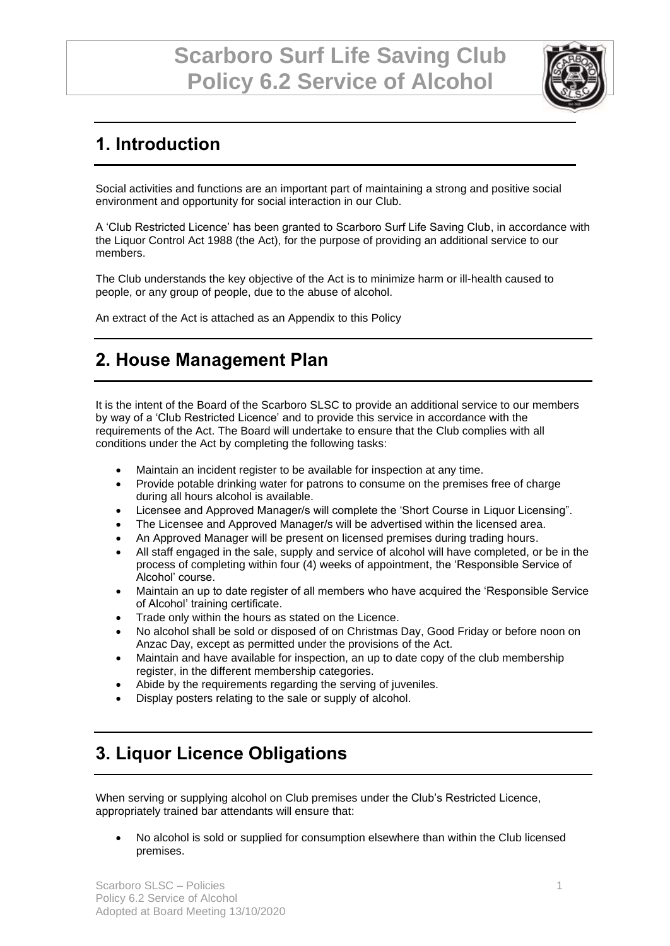

## **1. Introduction**

Social activities and functions are an important part of maintaining a strong and positive social environment and opportunity for social interaction in our Club.

A 'Club Restricted Licence' has been granted to Scarboro Surf Life Saving Club, in accordance with the Liquor Control Act 1988 (the Act), for the purpose of providing an additional service to our members.

The Club understands the key objective of the Act is to minimize harm or ill-health caused to people, or any group of people, due to the abuse of alcohol.

An extract of the Act is attached as an Appendix to this Policy

### **2. House Management Plan**

It is the intent of the Board of the Scarboro SLSC to provide an additional service to our members by way of a 'Club Restricted Licence' and to provide this service in accordance with the requirements of the Act. The Board will undertake to ensure that the Club complies with all conditions under the Act by completing the following tasks:

- Maintain an incident register to be available for inspection at any time.
- Provide potable drinking water for patrons to consume on the premises free of charge during all hours alcohol is available.
- Licensee and Approved Manager/s will complete the 'Short Course in Liquor Licensing".
- The Licensee and Approved Manager/s will be advertised within the licensed area.
- An Approved Manager will be present on licensed premises during trading hours.
- All staff engaged in the sale, supply and service of alcohol will have completed, or be in the process of completing within four (4) weeks of appointment, the 'Responsible Service of Alcohol' course.
- Maintain an up to date register of all members who have acquired the 'Responsible Service of Alcohol' training certificate.
- Trade only within the hours as stated on the Licence.
- No alcohol shall be sold or disposed of on Christmas Day, Good Friday or before noon on Anzac Day, except as permitted under the provisions of the Act.
- Maintain and have available for inspection, an up to date copy of the club membership register, in the different membership categories.
- Abide by the requirements regarding the serving of juveniles.
- Display posters relating to the sale or supply of alcohol.

## **3. Liquor Licence Obligations**

When serving or supplying alcohol on Club premises under the Club's Restricted Licence, appropriately trained bar attendants will ensure that:

• No alcohol is sold or supplied for consumption elsewhere than within the Club licensed premises.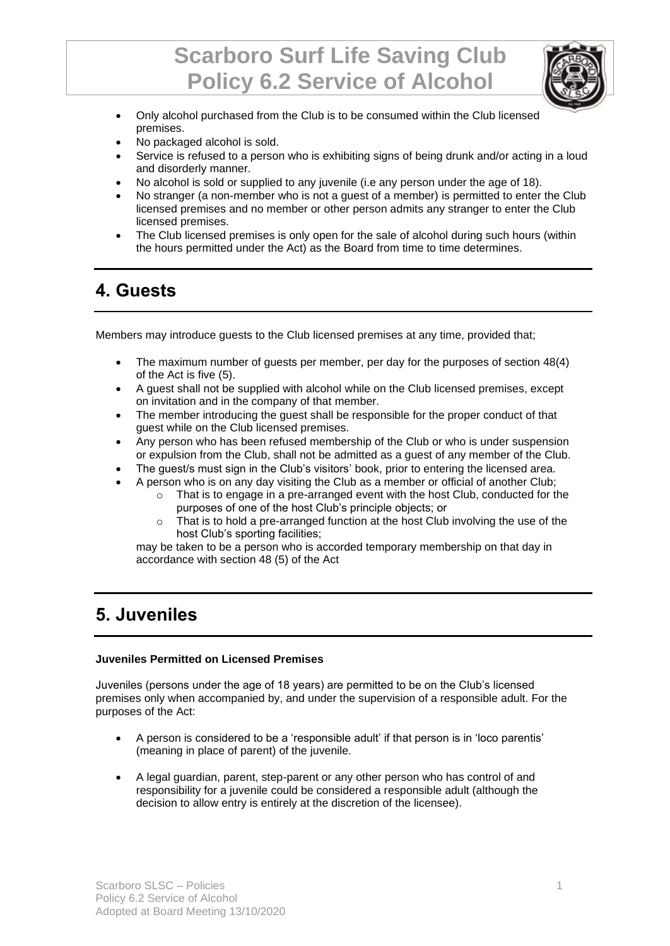# **Scarboro Surf Life Saving Club Policy 6.2 Service of Alcohol**



- Only alcohol purchased from the Club is to be consumed within the Club licensed premises.
- No packaged alcohol is sold.
- Service is refused to a person who is exhibiting signs of being drunk and/or acting in a loud and disorderly manner.
- No alcohol is sold or supplied to any juvenile (i.e any person under the age of 18).
- No stranger (a non-member who is not a quest of a member) is permitted to enter the Club licensed premises and no member or other person admits any stranger to enter the Club licensed premises.
- The Club licensed premises is only open for the sale of alcohol during such hours (within the hours permitted under the Act) as the Board from time to time determines.

### **4. Guests**

Members may introduce guests to the Club licensed premises at any time, provided that;

- The maximum number of guests per member, per day for the purposes of section 48(4) of the Act is five (5).
- A guest shall not be supplied with alcohol while on the Club licensed premises, except on invitation and in the company of that member.
- The member introducing the guest shall be responsible for the proper conduct of that guest while on the Club licensed premises.
- Any person who has been refused membership of the Club or who is under suspension or expulsion from the Club, shall not be admitted as a guest of any member of the Club.
- The guest/s must sign in the Club's visitors' book, prior to entering the licensed area.
- A person who is on any day visiting the Club as a member or official of another Club;
	- $\circ$  That is to engage in a pre-arranged event with the host Club, conducted for the purposes of one of the host Club's principle objects; or
	- o That is to hold a pre-arranged function at the host Club involving the use of the host Club's sporting facilities;

may be taken to be a person who is accorded temporary membership on that day in accordance with section 48 (5) of the Act

### **5. Juveniles**

#### **Juveniles Permitted on Licensed Premises**

Juveniles (persons under the age of 18 years) are permitted to be on the Club's licensed premises only when accompanied by, and under the supervision of a responsible adult. For the purposes of the Act:

- A person is considered to be a 'responsible adult' if that person is in 'loco parentis' (meaning in place of parent) of the juvenile.
- A legal guardian, parent, step-parent or any other person who has control of and responsibility for a juvenile could be considered a responsible adult (although the decision to allow entry is entirely at the discretion of the licensee).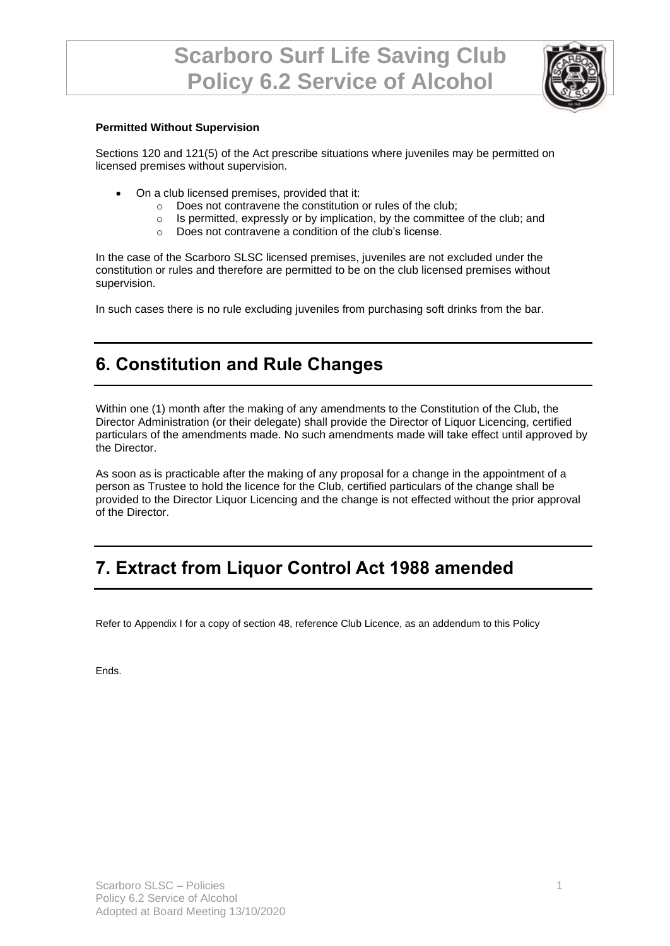

#### **Permitted Without Supervision**

Sections 120 and 121(5) of the Act prescribe situations where juveniles may be permitted on licensed premises without supervision.

- On a club licensed premises, provided that it:
	- o Does not contravene the constitution or rules of the club;
	- o Is permitted, expressly or by implication, by the committee of the club; and
	- o Does not contravene a condition of the club's license.

In the case of the Scarboro SLSC licensed premises, juveniles are not excluded under the constitution or rules and therefore are permitted to be on the club licensed premises without supervision.

In such cases there is no rule excluding juveniles from purchasing soft drinks from the bar.

### **6. Constitution and Rule Changes**

Within one (1) month after the making of any amendments to the Constitution of the Club, the Director Administration (or their delegate) shall provide the Director of Liquor Licencing, certified particulars of the amendments made. No such amendments made will take effect until approved by the Director.

As soon as is practicable after the making of any proposal for a change in the appointment of a person as Trustee to hold the licence for the Club, certified particulars of the change shall be provided to the Director Liquor Licencing and the change is not effected without the prior approval of the Director.

## **7. Extract from Liquor Control Act 1988 amended**

Refer to Appendix I for a copy of section 48, reference Club Licence, as an addendum to this Policy

Ends.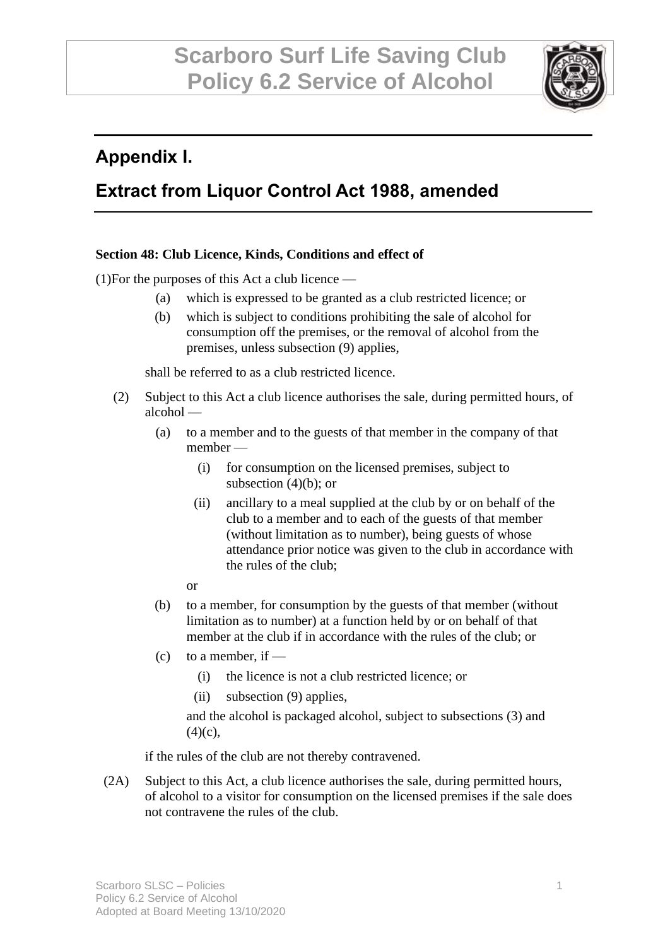

## **Appendix I.**

## **Extract from Liquor Control Act 1988, amended**

#### **Section 48: Club Licence, Kinds, Conditions and effect of**

(1)For the purposes of this Act a club licence —

- (a) which is expressed to be granted as a club restricted licence; or
- (b) which is subject to conditions prohibiting the sale of alcohol for consumption off the premises, or the removal of alcohol from the premises, unless subsection (9) applies,

shall be referred to as a club restricted licence.

- (2) Subject to this Act a club licence authorises the sale, during permitted hours, of alcohol —
	- (a) to a member and to the guests of that member in the company of that member —
		- (i) for consumption on the licensed premises, subject to subsection  $(4)(b)$ ; or
		- (ii) ancillary to a meal supplied at the club by or on behalf of the club to a member and to each of the guests of that member (without limitation as to number), being guests of whose attendance prior notice was given to the club in accordance with the rules of the club;
		- or
	- (b) to a member, for consumption by the guests of that member (without limitation as to number) at a function held by or on behalf of that member at the club if in accordance with the rules of the club; or
	- (c) to a member, if  $-$ 
		- (i) the licence is not a club restricted licence; or
		- (ii) subsection (9) applies,

and the alcohol is packaged alcohol, subject to subsections (3) and  $(4)(c)$ ,

if the rules of the club are not thereby contravened.

(2A) Subject to this Act, a club licence authorises the sale, during permitted hours, of alcohol to a visitor for consumption on the licensed premises if the sale does not contravene the rules of the club.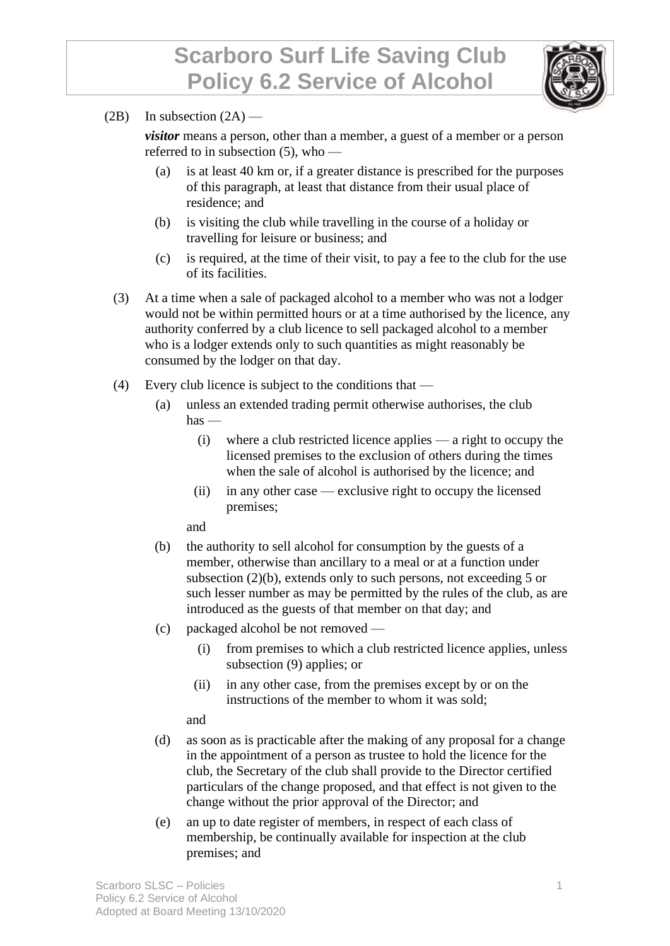

(2B) In subsection  $(2A)$  —

*visitor* means a person, other than a member, a guest of a member or a person referred to in subsection (5), who —

- (a) is at least 40 km or, if a greater distance is prescribed for the purposes of this paragraph, at least that distance from their usual place of residence; and
- (b) is visiting the club while travelling in the course of a holiday or travelling for leisure or business; and
- (c) is required, at the time of their visit, to pay a fee to the club for the use of its facilities.
- (3) At a time when a sale of packaged alcohol to a member who was not a lodger would not be within permitted hours or at a time authorised by the licence, any authority conferred by a club licence to sell packaged alcohol to a member who is a lodger extends only to such quantities as might reasonably be consumed by the lodger on that day.
- (4) Every club licence is subject to the conditions that
	- (a) unless an extended trading permit otherwise authorises, the club  $has$  —
		- (i) where a club restricted licence applies a right to occupy the licensed premises to the exclusion of others during the times when the sale of alcohol is authorised by the licence; and
		- (ii) in any other case exclusive right to occupy the licensed premises;

and

- (b) the authority to sell alcohol for consumption by the guests of a member, otherwise than ancillary to a meal or at a function under subsection (2)(b), extends only to such persons, not exceeding 5 or such lesser number as may be permitted by the rules of the club, as are introduced as the guests of that member on that day; and
- (c) packaged alcohol be not removed
	- (i) from premises to which a club restricted licence applies, unless subsection (9) applies; or
	- (ii) in any other case, from the premises except by or on the instructions of the member to whom it was sold;

and

- (d) as soon as is practicable after the making of any proposal for a change in the appointment of a person as trustee to hold the licence for the club, the Secretary of the club shall provide to the Director certified particulars of the change proposed, and that effect is not given to the change without the prior approval of the Director; and
- (e) an up to date register of members, in respect of each class of membership, be continually available for inspection at the club premises; and